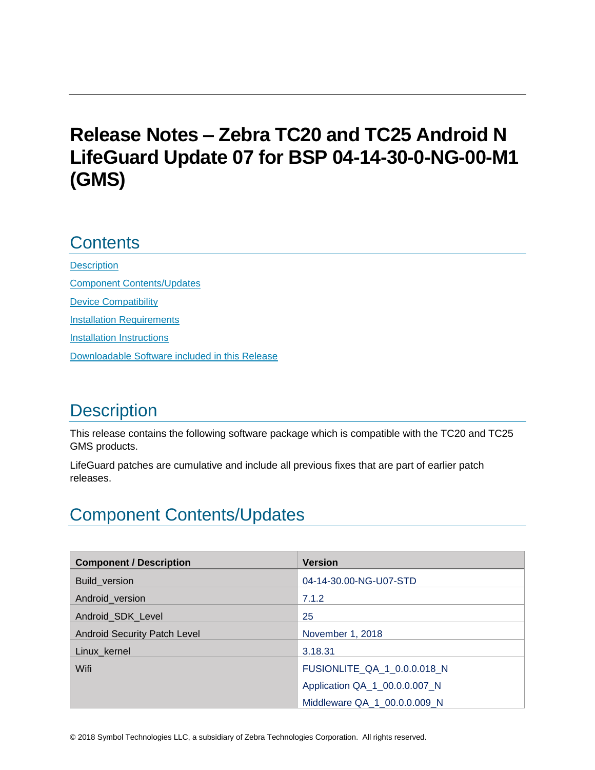# **Release Notes – Zebra TC20 and TC25 Android N LifeGuard Update 07 for BSP 04-14-30-0-NG-00-M1 (GMS)**

# **Contents**

**[Description](#page-0-0)** [Component Contents/Updates](#page-0-1) [Device Compatibility](#page-5-0) **[Installation Requirements](#page-6-0)** [Installation Instructions](#page-7-0) [Downloadable Software included in this Release](#page-9-0) 

# <span id="page-0-0"></span>**Description**

This release contains the following software package which is compatible with the TC20 and TC25 GMS products.

LifeGuard patches are cumulative and include all previous fixes that are part of earlier patch releases.

# <span id="page-0-1"></span>Component Contents/Updates

| <b>Component / Description</b>      | <b>Version</b>                |
|-------------------------------------|-------------------------------|
| Build version                       | 04-14-30.00-NG-U07-STD        |
| Android_version                     | 7.1.2                         |
| Android_SDK_Level                   | 25                            |
| <b>Android Security Patch Level</b> | November 1, 2018              |
| Linux_kernel                        | 3.18.31                       |
| Wifi                                | FUSIONLITE_QA_1_0.0.0.018_N   |
|                                     | Application QA_1_00.0.0.007_N |
|                                     | Middleware QA 1 00.0.0.009 N  |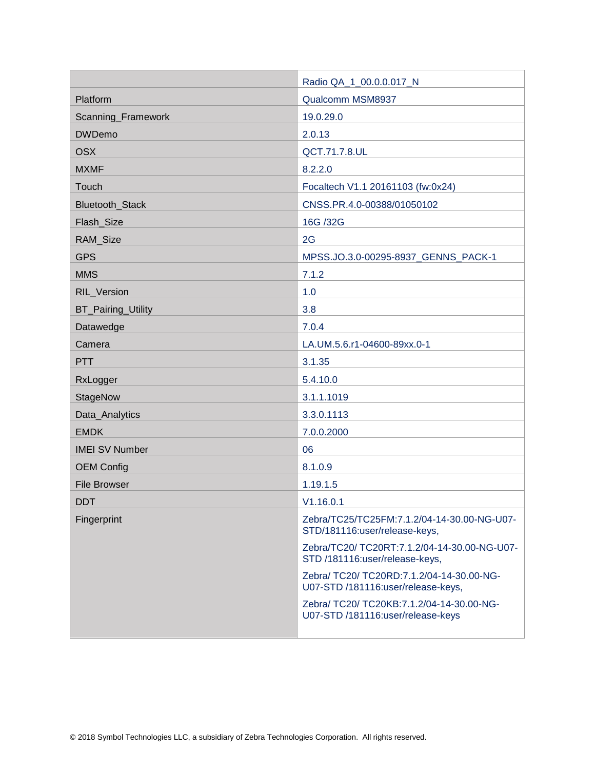|                        | Radio QA_1_00.0.0.017_N                                                         |
|------------------------|---------------------------------------------------------------------------------|
| Platform               | Qualcomm MSM8937                                                                |
| Scanning_Framework     | 19.0.29.0                                                                       |
| <b>DWDemo</b>          | 2.0.13                                                                          |
| <b>OSX</b>             | QCT.71.7.8.UL                                                                   |
| <b>MXMF</b>            | 8.2.2.0                                                                         |
| Touch                  | Focaltech V1.1 20161103 (fw:0x24)                                               |
| <b>Bluetooth Stack</b> | CNSS.PR.4.0-00388/01050102                                                      |
| Flash_Size             | 16G /32G                                                                        |
| RAM_Size               | 2G                                                                              |
| <b>GPS</b>             | MPSS.JO.3.0-00295-8937_GENNS_PACK-1                                             |
| <b>MMS</b>             | 7.1.2                                                                           |
| <b>RIL Version</b>     | 1.0                                                                             |
| BT_Pairing_Utility     | 3.8                                                                             |
| Datawedge              | 7.0.4                                                                           |
| Camera                 | LA.UM.5.6.r1-04600-89xx.0-1                                                     |
| <b>PTT</b>             | 3.1.35                                                                          |
| RxLogger               | 5.4.10.0                                                                        |
| StageNow               | 3.1.1.1019                                                                      |
| Data_Analytics         | 3.3.0.1113                                                                      |
| <b>EMDK</b>            | 7.0.0.2000                                                                      |
| <b>IMEI SV Number</b>  | 06                                                                              |
| <b>OEM Config</b>      | 8.1.0.9                                                                         |
| <b>File Browser</b>    | 1.19.1.5                                                                        |
| <b>DDT</b>             | V1.16.0.1                                                                       |
| Fingerprint            | Zebra/TC25/TC25FM:7.1.2/04-14-30.00-NG-U07-<br>STD/181116:user/release-keys,    |
|                        | Zebra/TC20/ TC20RT:7.1.2/04-14-30.00-NG-U07-<br>STD/181116:user/release-keys,   |
|                        | Zebra/ TC20/ TC20RD:7.1.2/04-14-30.00-NG-<br>U07-STD /181116:user/release-keys, |
|                        | Zebra/ TC20/ TC20KB:7.1.2/04-14-30.00-NG-<br>U07-STD /181116:user/release-keys  |
|                        |                                                                                 |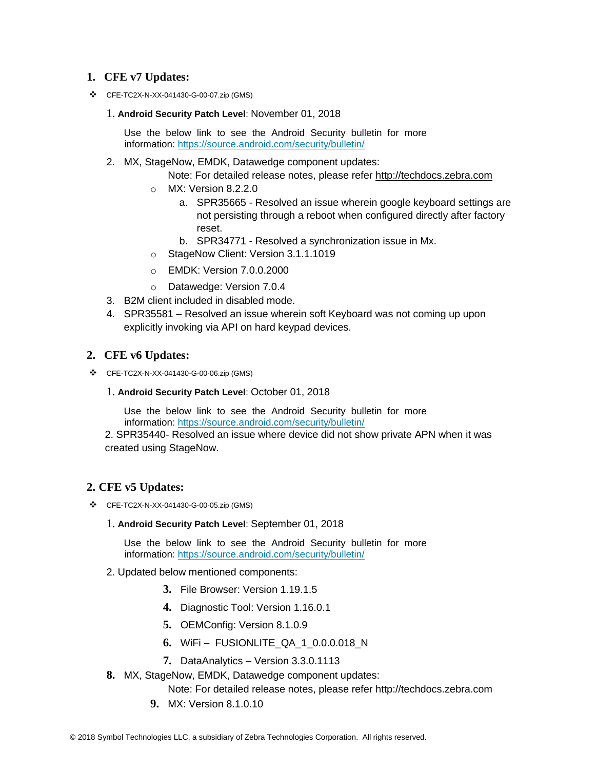### **1. CFE v7 Updates:**

❖ CFE-TC2X-N-XX-041430-G-00-07.zip (GMS)

#### 1. **Android Security Patch Level**: November 01, 2018

Use the below link to see the Android Security bulletin for more information:<https://source.android.com/security/bulletin/>

2. MX, StageNow, EMDK, Datawedge component updates:

Note: For detailed release notes, please refer [http://techdocs.zebra.com](http://techdocs.zebra.com/)

- o MX: Version 8.2.2.0
	- a. SPR35665 Resolved an issue wherein google keyboard settings are not persisting through a reboot when configured directly after factory reset.
	- b. SPR34771 Resolved a synchronization issue in Mx.
- o StageNow Client: Version 3.1.1.1019
- o EMDK: Version 7.0.0.2000
- o Datawedge: Version 7.0.4
- 3. B2M client included in disabled mode.
- 4. SPR35581 Resolved an issue wherein soft Keyboard was not coming up upon explicitly invoking via API on hard keypad devices.

### **2. CFE v6 Updates:**

- ❖ CFE-TC2X-N-XX-041430-G-00-06.zip (GMS)
	- 1. **Android Security Patch Level**: October 01, 2018

Use the below link to see the Android Security bulletin for more information:<https://source.android.com/security/bulletin/>

2. SPR35440- Resolved an issue where device did not show private APN when it was created using StageNow.

### **2. CFE v5 Updates:**

- ❖ CFE-TC2X-N-XX-041430-G-00-05.zip (GMS)
	- 1. **Android Security Patch Level**: September 01, 2018

Use the below link to see the Android Security bulletin for more information:<https://source.android.com/security/bulletin/>

- 2. Updated below mentioned components:
	- **3.** File Browser: Version 1.19.1.5
	- **4.** Diagnostic Tool: Version 1.16.0.1
	- **5.** OEMConfig: Version 8.1.0.9
	- **6.** WiFi FUSIONLITE\_QA\_1\_0.0.0.018\_N
	- **7.** DataAnalytics Version 3.3.0.1113
- **8.** MX, StageNow, EMDK, Datawedge component updates:
	- Note: For detailed release notes, please refer [http://techdocs.zebra.com](http://techdocs.zebra.com/)
	- **9.** MX: Version 8.1.0.10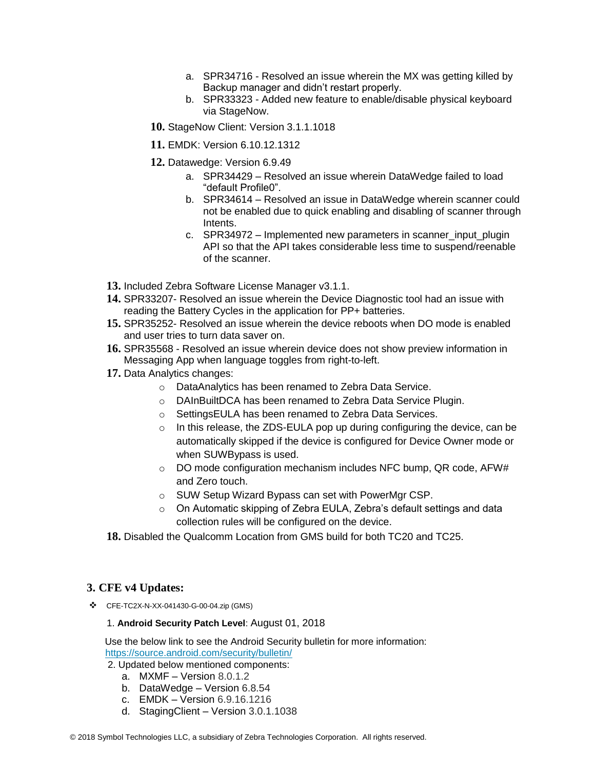- a. SPR34716 Resolved an issue wherein the MX was getting killed by Backup manager and didn't restart properly.
- b. SPR33323 Added new feature to enable/disable physical keyboard via StageNow.
- **10.** StageNow Client: Version 3.1.1.1018
- **11.** EMDK: Version 6.10.12.1312
- **12.** Datawedge: Version 6.9.49
	- a. SPR34429 Resolved an issue wherein DataWedge failed to load "default Profile0".
	- b. SPR34614 Resolved an issue in DataWedge wherein scanner could not be enabled due to quick enabling and disabling of scanner through Intents.
	- c. SPR34972 Implemented new parameters in scanner\_input\_plugin API so that the API takes considerable less time to suspend/reenable of the scanner.
- **13.** Included Zebra Software License Manager v3.1.1.
- **14.** SPR33207- Resolved an issue wherein the Device Diagnostic tool had an issue with reading the Battery Cycles in the application for PP+ batteries.
- **15.** SPR35252- Resolved an issue wherein the device reboots when DO mode is enabled and user tries to turn data saver on.
- **16.** SPR35568 Resolved an issue wherein device does not show preview information in Messaging App when language toggles from right-to-left.
- **17.** Data Analytics changes:
	- o DataAnalytics has been renamed to Zebra Data Service.
	- o DAInBuiltDCA has been renamed to Zebra Data Service Plugin.
	- o SettingsEULA has been renamed to Zebra Data Services.
	- o In this release, the ZDS-EULA pop up during configuring the device, can be automatically skipped if the device is configured for Device Owner mode or when SUWBypass is used.
	- $\circ$  DO mode configuration mechanism includes NFC bump, QR code, AFW# and Zero touch.
	- o SUW Setup Wizard Bypass can set with PowerMgr CSP.
	- o On Automatic skipping of Zebra EULA, Zebra's default settings and data collection rules will be configured on the device.
- **18.** Disabled the Qualcomm Location from GMS build for both TC20 and TC25.

#### **3. CFE v4 Updates:**

❖ CFE-TC2X-N-XX-041430-G-00-04.zip (GMS)

#### 1. **Android Security Patch Level**: August 01, 2018

Use the below link to see the Android Security bulletin for more information: <https://source.android.com/security/bulletin/>

2. Updated below mentioned components:

- a. MXMF Version 8.0.1.2
- b. DataWedge Version 6.8.54
- c. EMDK Version 6.9.16.1216
- d. StagingClient Version 3.0.1.1038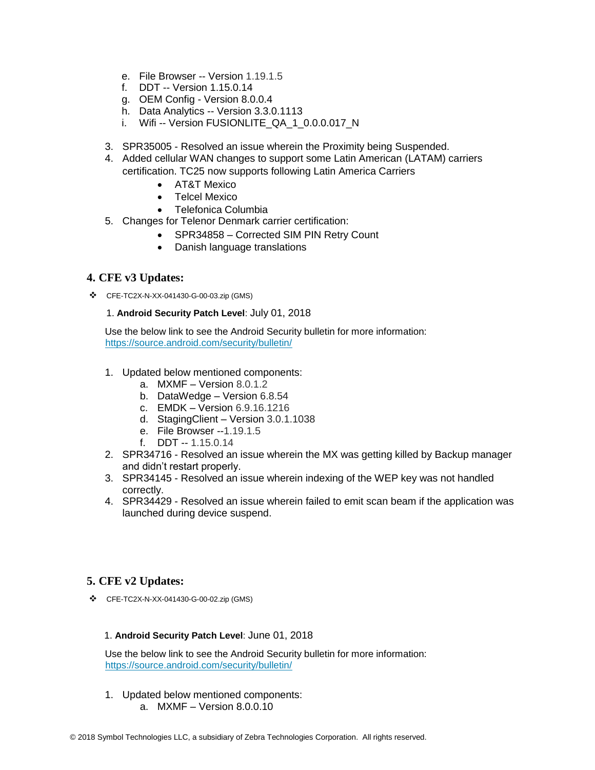- e. File Browser -- Version 1.19.1.5
- f. DDT -- Version 1.15.0.14
- g. OEM Config Version 8.0.0.4
- h. Data Analytics -- Version 3.3.0.1113
- i. Wifi -- Version FUSIONLITE\_QA\_1\_0.0.0.017\_N
- 3. SPR35005 Resolved an issue wherein the Proximity being Suspended.
- 4. Added cellular WAN changes to support some Latin American (LATAM) carriers certification. TC25 now supports following Latin America Carriers
	- AT&T Mexico
	- Telcel Mexico
	- Telefonica Columbia
- 5. Changes for Telenor Denmark carrier certification:
	- SPR34858 Corrected SIM PIN Retry Count
	- Danish language translations

### **4. CFE v3 Updates:**

❖ CFE-TC2X-N-XX-041430-G-00-03.zip (GMS)

#### 1. **Android Security Patch Level**: July 01, 2018

Use the below link to see the Android Security bulletin for more information: <https://source.android.com/security/bulletin/>

- 1. Updated below mentioned components:
	- a. MXMF Version 8.0.1.2
	- b. DataWedge Version 6.8.54
	- c. EMDK Version 6.9.16.1216
	- d. StagingClient Version 3.0.1.1038
	- e. File Browser --1.19.1.5
	- f. DDT -- 1.15.0.14
- 2. SPR34716 Resolved an issue wherein the MX was getting killed by Backup manager and didn't restart properly.
- 3. SPR34145 Resolved an issue wherein indexing of the WEP key was not handled correctly.
- 4. SPR34429 Resolved an issue wherein failed to emit scan beam if the application was launched during device suspend.

### **5. CFE v2 Updates:**

❖ CFE-TC2X-N-XX-041430-G-00-02.zip (GMS)

#### 1. **Android Security Patch Level**: June 01, 2018

Use the below link to see the Android Security bulletin for more information: <https://source.android.com/security/bulletin/>

- 1. Updated below mentioned components:
	- a. MXMF Version 8.0.0.10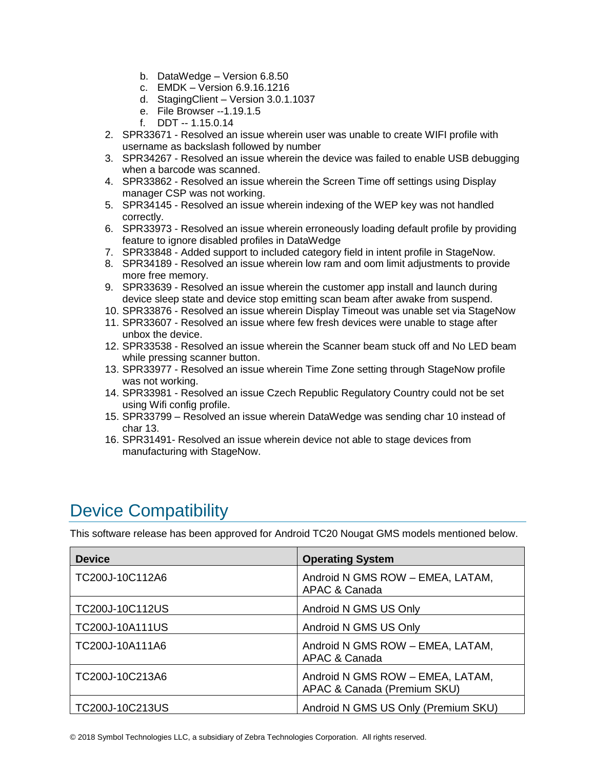- b. DataWedge Version 6.8.50
- c. EMDK Version 6.9.16.1216
- d. StagingClient Version 3.0.1.1037
- e. File Browser --1.19.1.5
- f. DDT -- 1.15.0.14
- 2. SPR33671 Resolved an issue wherein user was unable to create WIFI profile with username as backslash followed by number
- 3. SPR34267 Resolved an issue wherein the device was failed to enable USB debugging when a barcode was scanned.
- 4. SPR33862 Resolved an issue wherein the Screen Time off settings using Display manager CSP was not working.
- 5. SPR34145 Resolved an issue wherein indexing of the WEP key was not handled correctly.
- 6. SPR33973 Resolved an issue wherein erroneously loading default profile by providing feature to ignore disabled profiles in DataWedge
- 7. SPR33848 Added support to included category field in intent profile in StageNow.
- 8. SPR34189 Resolved an issue wherein low ram and oom limit adjustments to provide more free memory.
- 9. SPR33639 Resolved an issue wherein the customer app install and launch during device sleep state and device stop emitting scan beam after awake from suspend.
- 10. SPR33876 Resolved an issue wherein Display Timeout was unable set via StageNow
- 11. SPR33607 Resolved an issue where few fresh devices were unable to stage after unbox the device.
- 12. SPR33538 Resolved an issue wherein the Scanner beam stuck off and No LED beam while pressing scanner button.
- 13. SPR33977 Resolved an issue wherein Time Zone setting through StageNow profile was not working.
- 14. SPR33981 Resolved an issue Czech Republic Regulatory Country could not be set using Wifi config profile.
- 15. SPR33799 Resolved an issue wherein DataWedge was sending char 10 instead of char 13.
- 16. SPR31491- Resolved an issue wherein device not able to stage devices from manufacturing with StageNow.

# <span id="page-5-0"></span>Device Compatibility

This software release has been approved for Android TC20 Nougat GMS models mentioned below.

| <b>Device</b>   | <b>Operating System</b>                                         |
|-----------------|-----------------------------------------------------------------|
| TC200J-10C112A6 | Android N GMS ROW - EMEA, LATAM,<br>APAC & Canada               |
| TC200J-10C112US | Android N GMS US Only                                           |
| TC200J-10A111US | Android N GMS US Only                                           |
| TC200J-10A111A6 | Android N GMS ROW - EMEA, LATAM,<br>APAC & Canada               |
| TC200J-10C213A6 | Android N GMS ROW - EMEA, LATAM,<br>APAC & Canada (Premium SKU) |
| TC200J-10C213US | Android N GMS US Only (Premium SKU)                             |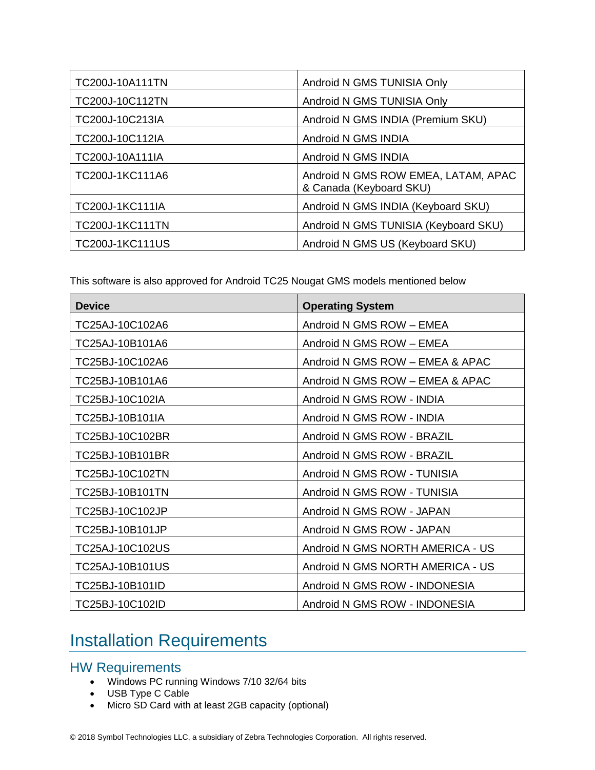| TC200J-10A111TN        | Android N GMS TUNISIA Only                                     |
|------------------------|----------------------------------------------------------------|
| TC200J-10C112TN        | Android N GMS TUNISIA Only                                     |
| TC200J-10C213IA        | Android N GMS INDIA (Premium SKU)                              |
| TC200J-10C112IA        | Android N GMS INDIA                                            |
| TC200J-10A111IA        | Android N GMS INDIA                                            |
| TC200J-1KC111A6        | Android N GMS ROW EMEA, LATAM, APAC<br>& Canada (Keyboard SKU) |
| TC200J-1KC111IA        | Android N GMS INDIA (Keyboard SKU)                             |
| <b>TC200J-1KC111TN</b> | Android N GMS TUNISIA (Keyboard SKU)                           |
| <b>TC200J-1KC111US</b> | Android N GMS US (Keyboard SKU)                                |

This software is also approved for Android TC25 Nougat GMS models mentioned below

| <b>Device</b>   | <b>Operating System</b>          |
|-----------------|----------------------------------|
| TC25AJ-10C102A6 | Android N GMS ROW - EMEA         |
| TC25AJ-10B101A6 | Android N GMS ROW - EMEA         |
| TC25BJ-10C102A6 | Android N GMS ROW - EMEA & APAC  |
| TC25BJ-10B101A6 | Android N GMS ROW - EMEA & APAC  |
| TC25BJ-10C102IA | Android N GMS ROW - INDIA        |
| TC25BJ-10B101IA | Android N GMS ROW - INDIA        |
| TC25BJ-10C102BR | Android N GMS ROW - BRAZIL       |
| TC25BJ-10B101BR | Android N GMS ROW - BRAZIL       |
| TC25BJ-10C102TN | Android N GMS ROW - TUNISIA      |
| TC25BJ-10B101TN | Android N GMS ROW - TUNISIA      |
| TC25BJ-10C102JP | Android N GMS ROW - JAPAN        |
| TC25BJ-10B101JP | Android N GMS ROW - JAPAN        |
| TC25AJ-10C102US | Android N GMS NORTH AMERICA - US |
| TC25AJ-10B101US | Android N GMS NORTH AMERICA - US |
| TC25BJ-10B101ID | Android N GMS ROW - INDONESIA    |
| TC25BJ-10C102ID | Android N GMS ROW - INDONESIA    |

# <span id="page-6-0"></span>Installation Requirements

### HW Requirements

- Windows PC running Windows 7/10 32/64 bits
- USB Type C Cable
- Micro SD Card with at least 2GB capacity (optional)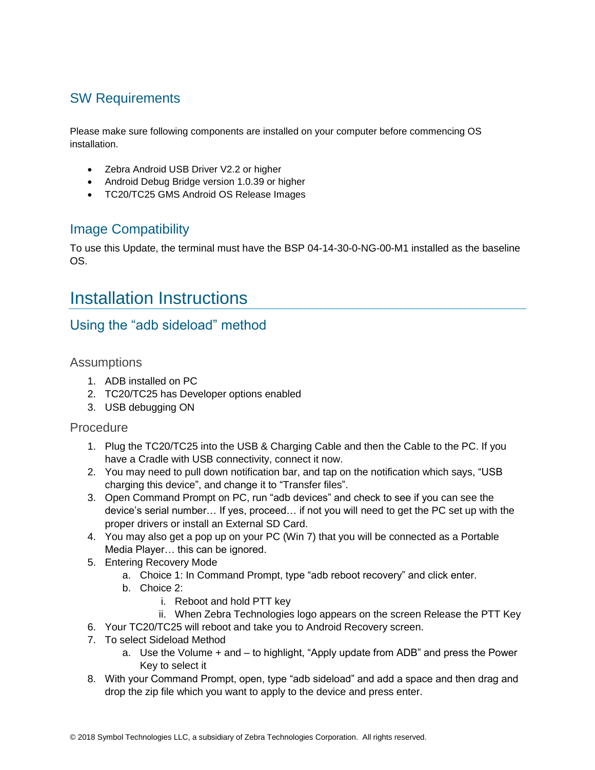## SW Requirements

Please make sure following components are installed on your computer before commencing OS installation.

- Zebra Android USB Driver V2.2 or higher
- Android Debug Bridge version 1.0.39 or higher
- TC20/TC25 GMS Android OS Release Images

## Image Compatibility

To use this Update, the terminal must have the BSP 04-14-30-0-NG-00-M1 installed as the baseline OS.

## <span id="page-7-0"></span>Installation Instructions

## Using the "adb sideload" method

### **Assumptions**

- 1. ADB installed on PC
- 2. TC20/TC25 has Developer options enabled
- 3. USB debugging ON

### Procedure

- 1. Plug the TC20/TC25 into the USB & Charging Cable and then the Cable to the PC. If you have a Cradle with USB connectivity, connect it now.
- 2. You may need to pull down notification bar, and tap on the notification which says, "USB charging this device", and change it to "Transfer files".
- 3. Open Command Prompt on PC, run "adb devices" and check to see if you can see the device's serial number… If yes, proceed… if not you will need to get the PC set up with the proper drivers or install an External SD Card.
- 4. You may also get a pop up on your PC (Win 7) that you will be connected as a Portable Media Player… this can be ignored.
- 5. Entering Recovery Mode
	- a. Choice 1: In Command Prompt, type "adb reboot recovery" and click enter.
	- b. Choice 2:
		- i. Reboot and hold PTT key
		- ii. When Zebra Technologies logo appears on the screen Release the PTT Key
- 6. Your TC20/TC25 will reboot and take you to Android Recovery screen.
- 7. To select Sideload Method
	- a. Use the Volume + and to highlight, "Apply update from ADB" and press the Power Key to select it
- 8. With your Command Prompt, open, type "adb sideload" and add a space and then drag and drop the zip file which you want to apply to the device and press enter.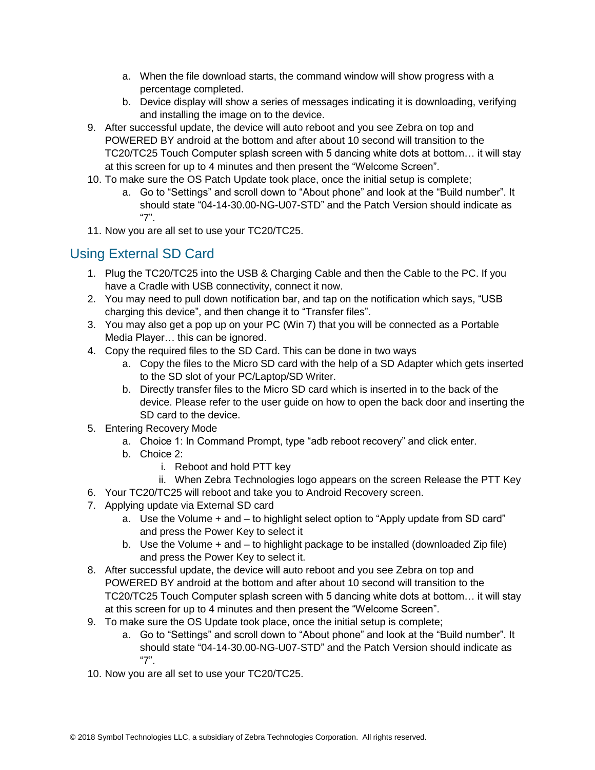- a. When the file download starts, the command window will show progress with a percentage completed.
- b. Device display will show a series of messages indicating it is downloading, verifying and installing the image on to the device.
- 9. After successful update, the device will auto reboot and you see Zebra on top and POWERED BY android at the bottom and after about 10 second will transition to the TC20/TC25 Touch Computer splash screen with 5 dancing white dots at bottom… it will stay at this screen for up to 4 minutes and then present the "Welcome Screen".
- 10. To make sure the OS Patch Update took place, once the initial setup is complete;
	- a. Go to "Settings" and scroll down to "About phone" and look at the "Build number". It should state "04-14-30.00-NG-U07-STD" and the Patch Version should indicate as "7".
- 11. Now you are all set to use your TC20/TC25.

## Using External SD Card

- 1. Plug the TC20/TC25 into the USB & Charging Cable and then the Cable to the PC. If you have a Cradle with USB connectivity, connect it now.
- 2. You may need to pull down notification bar, and tap on the notification which says, "USB charging this device", and then change it to "Transfer files".
- 3. You may also get a pop up on your PC (Win 7) that you will be connected as a Portable Media Player… this can be ignored.
- 4. Copy the required files to the SD Card. This can be done in two ways
	- a. Copy the files to the Micro SD card with the help of a SD Adapter which gets inserted to the SD slot of your PC/Laptop/SD Writer.
	- b. Directly transfer files to the Micro SD card which is inserted in to the back of the device. Please refer to the user guide on how to open the back door and inserting the SD card to the device.
- 5. Entering Recovery Mode
	- a. Choice 1: In Command Prompt, type "adb reboot recovery" and click enter.
	- b. Choice 2:
		- i. Reboot and hold PTT key
	- ii. When Zebra Technologies logo appears on the screen Release the PTT Key
- 6. Your TC20/TC25 will reboot and take you to Android Recovery screen.
- 7. Applying update via External SD card
	- a. Use the Volume + and to highlight select option to "Apply update from SD card" and press the Power Key to select it
	- b. Use the Volume + and to highlight package to be installed (downloaded Zip file) and press the Power Key to select it.
- 8. After successful update, the device will auto reboot and you see Zebra on top and POWERED BY android at the bottom and after about 10 second will transition to the TC20/TC25 Touch Computer splash screen with 5 dancing white dots at bottom… it will stay at this screen for up to 4 minutes and then present the "Welcome Screen".
- 9. To make sure the OS Update took place, once the initial setup is complete;
	- a. Go to "Settings" and scroll down to "About phone" and look at the "Build number". It should state "04-14-30.00-NG-U07-STD" and the Patch Version should indicate as "7".
- 10. Now you are all set to use your TC20/TC25.